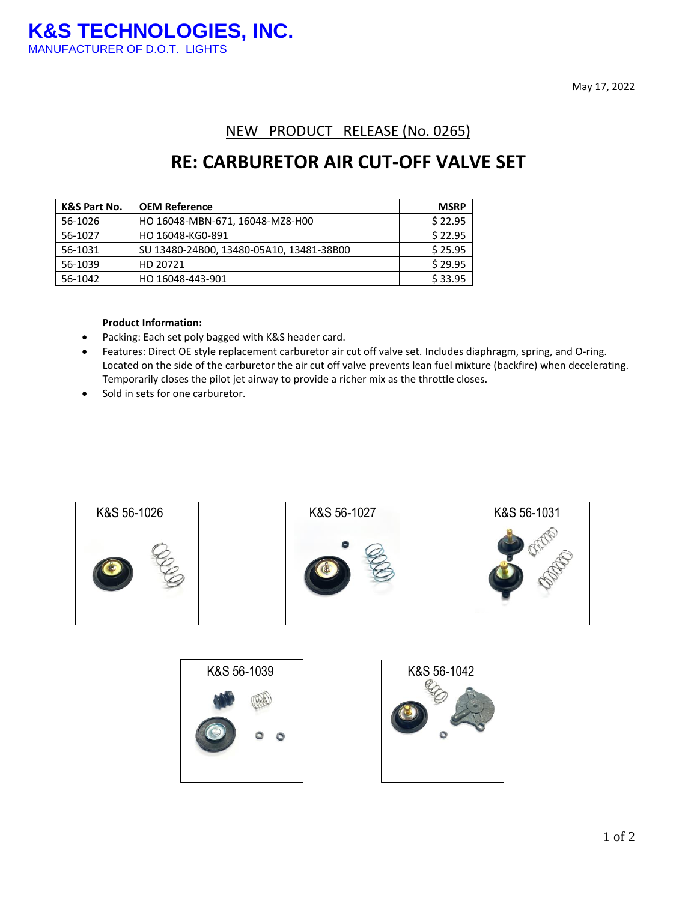May 17, 2022

### NEW PRODUCT RELEASE (No. 0265)

## **RE: CARBURETOR AIR CUT-OFF VALVE SET**

| <b>K&amp;S Part No.</b> | <b>OEM Reference</b>                     | <b>MSRP</b> |
|-------------------------|------------------------------------------|-------------|
| 56-1026                 | HO 16048-MBN-671, 16048-MZ8-H00          | \$22.95     |
| 56-1027                 | HO 16048-KG0-891                         | \$22.95     |
| 56-1031                 | SU 13480-24B00, 13480-05A10, 13481-38B00 | \$25.95     |
| 56-1039                 | HD 20721                                 | \$29.95     |
| 56-1042                 | HO 16048-443-901                         | \$33.95     |

#### **Product Information:**

- Packing: Each set poly bagged with K&S header card.
- Features: Direct OE style replacement carburetor air cut off valve set. Includes diaphragm, spring, and O-ring. Located on the side of the carburetor the air cut off valve prevents lean fuel mixture (backfire) when decelerating. Temporarily closes the pilot jet airway to provide a richer mix as the throttle closes.
- Sold in sets for one carburetor.